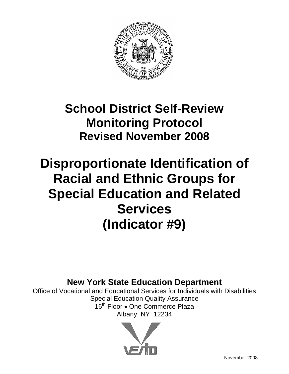

## **School District Self-Review Monitoring Protocol Revised November 2008**

## **Disproportionate Identification of Racial and Ethnic Groups for Special Education and Related Services (Indicator #9)**

**New York State Education Department** 

Office of Vocational and Educational Services for Individuals with Disabilities Special Education Quality Assurance 16<sup>th</sup> Floor • One Commerce Plaza Albany, NY 12234

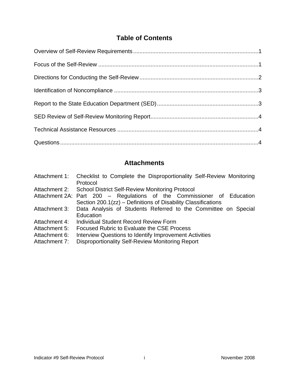## **Table of Contents**

## **Attachments**

|               | Attachment 1: Checklist to Complete the Disproportionality Self-Review Monitoring<br>Protocol |
|---------------|-----------------------------------------------------------------------------------------------|
|               | Attachment 2: School District Self-Review Monitoring Protocol                                 |
|               | Attachment 2A: Part 200 - Regulations of the Commissioner of Education                        |
|               | Section 200.1(zz) – Definitions of Disability Classifications                                 |
|               | Attachment 3: Data Analysis of Students Referred to the Committee on Special                  |
|               | Education                                                                                     |
| Attachment 4: | Individual Student Record Review Form                                                         |
| Attachment 5: | <b>Focused Rubric to Evaluate the CSE Process</b>                                             |
| Attachment 6: | <b>Interview Questions to Identify Improvement Activities</b>                                 |
| Attachment 7: | Disproportionality Self-Review Monitoring Report                                              |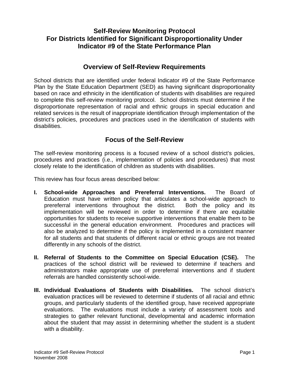## **Self-Review Monitoring Protocol For Districts Identified for Significant Disproportionality Under Indicator #9 of the State Performance Plan**

## **Overview of Self-Review Requirements**

School districts that are identified under federal Indicator #9 of the State Performance Plan by the State Education Department (SED) as having significant disproportionality based on race and ethnicity in the identification of students with disabilities are required to complete this self-review monitoring protocol. School districts must determine if the disproportionate representation of racial and ethnic groups in special education and related services is the result of inappropriate identification through implementation of the district's policies, procedures and practices used in the identification of students with disabilities.

## **Focus of the Self-Review**

The self-review monitoring process is a focused review of a school district's policies, procedures and practices (i.e., implementation of policies and procedures) that most closely relate to the identification of children as students with disabilities.

This review has four focus areas described below:

- **I. School-wide Approaches and Prereferral Interventions.** The Board of Education must have written policy that articulates a school-wide approach to prereferral interventions throughout the district. Both the policy and its implementation will be reviewed in order to determine if there are equitable opportunities for students to receive supportive interventions that enable them to be successful in the general education environment. Procedures and practices will also be analyzed to determine if the policy is implemented in a consistent manner for all students and that students of different racial or ethnic groups are not treated differently in any schools of the district.
- **II. Referral of Students to the Committee on Special Education (CSE).** The practices of the school district will be reviewed to determine if teachers and administrators make appropriate use of prereferral interventions and if student referrals are handled consistently school-wide.
- **III. Individual Evaluations of Students with Disabilities.** The school district's evaluation practices will be reviewed to determine if students of all racial and ethnic groups, and particularly students of the identified group, have received appropriate evaluations. The evaluations must include a variety of assessment tools and strategies to gather relevant functional, developmental and academic information about the student that may assist in determining whether the student is a student with a disability.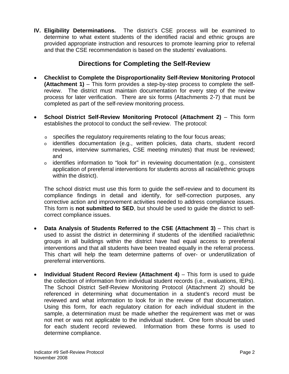**IV. Eligibility Determinations.** The district's CSE process will be examined to determine to what extent students of the identified racial and ethnic groups are provided appropriate instruction and resources to promote learning prior to referral and that the CSE recommendation is based on the students' evaluations.

## **Directions for Completing the Self-Review**

- **Checklist to Complete the Disproportionality Self-Review Monitoring Protocol (Attachment 1)** – This form provides a step-by-step process to complete the selfreview. The district must maintain documentation for every step of the review process for later verification. There are six forms (Attachments 2-7) that must be completed as part of the self-review monitoring process.
- **School District Self-Review Monitoring Protocol (Attachment 2)** This form establishes the protocol to conduct the self-review. The protocol:
	- $\circ$  specifies the regulatory requirements relating to the four focus areas;
	- o identifies documentation (e.g., written policies, data charts, student record reviews, interview summaries, CSE meeting minutes) that must be reviewed; and
	- $\circ$  identifies information to "look for" in reviewing documentation (e.g., consistent application of prereferral interventions for students across all racial/ethnic groups within the district).

 The school district must use this form to guide the self-review and to document its compliance findings in detail and identify, for self-correction purposes, any corrective action and improvement activities needed to address compliance issues. This form is **not submitted to SED**, but should be used to guide the district to selfcorrect compliance issues.

- **Data Analysis of Students Referred to the CSE (Attachment 3)** This chart is used to assist the district in determining if students of the identified racial/ethnic groups in all buildings within the district have had equal access to prereferral interventions and that all students have been treated equally in the referral process. This chart will help the team determine patterns of over- or underutilization of prereferral interventions.
- **Individual Student Record Review (Attachment 4)** This form is used to guide the collection of information from individual student records (i.e., evaluations, IEPs). The School District Self-Review Monitoring Protocol (Attachment 2) should be referenced in determining what documentation in a student's record must be reviewed and what information to look for in the review of that documentation. Using this form, for each regulatory citation for each individual student in the sample, a determination must be made whether the requirement was met or was not met or was not applicable to the individual student. One form should be used for each student record reviewed. Information from these forms is used to determine compliance.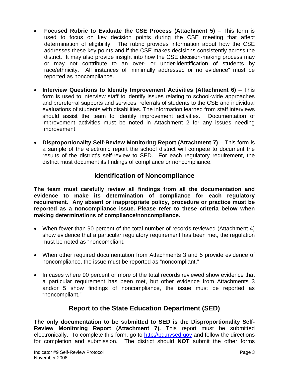- **Focused Rubric to Evaluate the CSE Process (Attachment 5)** This form is used to focus on key decision points during the CSE meeting that affect determination of eligibility. The rubric provides information about how the CSE addresses these key points and if the CSE makes decisions consistently across the district. It may also provide insight into how the CSE decision-making process may or may not contribute to an over- or under-identification of students by race/ethnicity. All instances of "minimally addressed or no evidence" must be reported as noncompliance.
- **Interview Questions to Identify Improvement Activities (Attachment 6)** This form is used to interview staff to identify issues relating to school-wide approaches and prereferral supports and services, referrals of students to the CSE and individual evaluations of students with disabilities. The information learned from staff interviews should assist the team to identify improvement activities. Documentation of improvement activities must be noted in Attachment 2 for any issues needing improvement.
- **Disproportionality Self-Review Monitoring Report (Attachment 7)** This form is a sample of the electronic report the school district will compete to document the results of the district's self-review to SED. For each regulatory requirement, the district must document its findings of compliance or noncompliance.

## **Identification of Noncompliance**

**The team must carefully review all findings from all the documentation and evidence to make its determination of compliance for each regulatory requirement. Any absent or inappropriate policy, procedure or practice must be reported as a noncompliance issue. Please refer to these criteria below when making determinations of compliance/noncompliance.** 

- When fewer than 90 percent of the total number of records reviewed (Attachment 4) show evidence that a particular regulatory requirement has been met, the regulation must be noted as "noncompliant."
- When other required documentation from Attachments 3 and 5 provide evidence of noncompliance, the issue must be reported as "noncompliant."
- In cases where 90 percent or more of the total records reviewed show evidence that a particular requirement has been met, but other evidence from Attachments 3 and/or 5 show findings of noncompliance, the issue must be reported as "noncompliant."

## **Report to the State Education Department (SED)**

**The only documentation to be submitted to SED is the Disproportionality Self-Review Monitoring Report (Attachment 7).** This report must be submitted electronically. To complete this form, go to [http://pd.nysed.gov](http://pd.nysed.gov/) and follow the directions for completion and submission. The district should **NOT** submit the other forms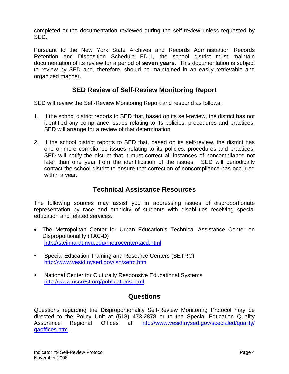completed or the documentation reviewed during the self-review unless requested by SED.

Pursuant to the New York State Archives and Records Administration Records Retention and Disposition Schedule ED-1, the school district must maintain documentation of its review for a period of **seven years**. This documentation is subject to review by SED and, therefore, should be maintained in an easily retrievable and organized manner.

## **SED Review of Self-Review Monitoring Report**

SED will review the Self-Review Monitoring Report and respond as follows:

- 1. If the school district reports to SED that, based on its self-review, the district has not identified any compliance issues relating to its policies, procedures and practices, SED will arrange for a review of that determination.
- 2. If the school district reports to SED that, based on its self-review, the district has one or more compliance issues relating to its policies, procedures and practices, SED will notify the district that it must correct all instances of noncompliance not later than one year from the identification of the issues. SED will periodically contact the school district to ensure that correction of noncompliance has occurred within a year.

### **Technical Assistance Resources**

The following sources may assist you in addressing issues of disproportionate representation by race and ethnicity of students with disabilities receiving special education and related services.

- The Metropolitan Center for Urban Education's Technical Assistance Center on Disproportionality (TAC-D) <http://steinhardt.nyu.edu/metrocenter/tacd.html>
- Special Education Training and Resource Centers (SETRC) <http://www.vesid.nysed.gov/lsn/setrc.htm>
- National Center for Culturally Responsive Educational Systems <http://www.nccrest.org/publications.html>

### **Questions**

Questions regarding the Disproportionality Self-Review Monitoring Protocol may be directed to the Policy Unit at (518) 473-2878 or to the Special Education Quality Assurance Regional Offices at [http://www.vesid.nysed.gov/specialed/quality/](http://www.vesid.nysed.gov/specialed/quality/%0Bqaoffices.htm) [qaoffices.htm](http://www.vesid.nysed.gov/specialed/quality/%0Bqaoffices.htm) .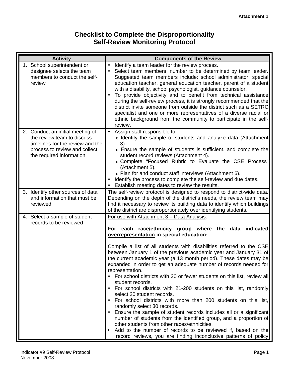## **Checklist to Complete the Disproportionality Self-Review Monitoring Protocol**

| <b>Activity</b>                                                                                                                                                 | <b>Components of the Review</b>                                                                                                                                                                                                                                                                                                                                                                                                                                                                                                                                                                                                                                                                                                                                                                                                                                                                                                                                                                                                                                                                             |
|-----------------------------------------------------------------------------------------------------------------------------------------------------------------|-------------------------------------------------------------------------------------------------------------------------------------------------------------------------------------------------------------------------------------------------------------------------------------------------------------------------------------------------------------------------------------------------------------------------------------------------------------------------------------------------------------------------------------------------------------------------------------------------------------------------------------------------------------------------------------------------------------------------------------------------------------------------------------------------------------------------------------------------------------------------------------------------------------------------------------------------------------------------------------------------------------------------------------------------------------------------------------------------------------|
| 1. School superintendent or<br>designee selects the team<br>members to conduct the self-<br>review                                                              | Identify a team leader for the review process.<br>Select team members, number to be determined by team leader.<br>Suggested team members include: school administrator, special<br>education teacher, general education teacher, parent of a student<br>with a disability, school psychologist, guidance counselor.<br>To provide objectivity and to benefit from technical assistance<br>during the self-review process, it is strongly recommended that the<br>district invite someone from outside the district such as a SETRC<br>specialist and one or more representatives of a diverse racial or<br>ethnic background from the community to participate in the self-<br>review.                                                                                                                                                                                                                                                                                                                                                                                                                      |
| 2. Conduct an initial meeting of<br>the review team to discuss<br>timelines for the review and the<br>process to review and collect<br>the required information | Assign staff responsible to:<br>$\bullet$<br>o Identify the sample of students and analyze data (Attachment<br>3).<br>o Ensure the sample of students is sufficient, and complete the<br>student record reviews (Attachment 4).<br>o Complete "Focused Rubric to Evaluate the CSE Process"<br>(Attachment 5).<br>o Plan for and conduct staff interviews (Attachment 6).<br>Identify the process to complete the self-review and due dates.<br>Establish meeting dates to review the results.                                                                                                                                                                                                                                                                                                                                                                                                                                                                                                                                                                                                               |
| 3. Identify other sources of data<br>and information that must be<br>reviewed                                                                                   | The self-review protocol is designed to respond to district-wide data.<br>Depending on the depth of the district's needs, the review team may<br>find it necessary to review its building data to identify which buildings<br>of the district are disproportionately over identifying students.                                                                                                                                                                                                                                                                                                                                                                                                                                                                                                                                                                                                                                                                                                                                                                                                             |
| 4. Select a sample of student<br>records to be reviewed                                                                                                         | For use with Attachment 3 - Data Analysis.<br>For each race/ethnicity group where the data indicated<br>overrepresentation in special education:<br>Compile a list of all students with disabilities referred to the CSE<br>between January 1 of the previous academic year and January 31 of<br>the current academic year (a 13 month period). These dates may be<br>expanded in order to get an adequate number of records needed for<br>representation.<br>• For school districts with 20 or fewer students on this list, review all<br>student records.<br>• For school districts with 21-200 students on this list, randomly<br>select 20 student records.<br>For school districts with more than 200 students on this list,<br>randomly select 30 records.<br>Ensure the sample of student records includes all or a significant<br>$\bullet$<br>number of students from the identified group, and a proportion of<br>other students from other races/ethnicities.<br>Add to the number of records to be reviewed if, based on the<br>record reviews, you are finding inconclusive patterns of policy |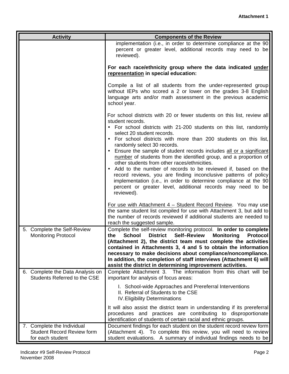| <b>Activity</b>                                                  | <b>Components of the Review</b>                                                                                                                                                                                                                                                                                                     |
|------------------------------------------------------------------|-------------------------------------------------------------------------------------------------------------------------------------------------------------------------------------------------------------------------------------------------------------------------------------------------------------------------------------|
|                                                                  | implementation (i.e., in order to determine compliance at the 90<br>percent or greater level, additional records may need to be<br>reviewed).                                                                                                                                                                                       |
|                                                                  | For each race/ethnicity group where the data indicated under<br>representation in special education:                                                                                                                                                                                                                                |
|                                                                  | Compile a list of all students from the under-represented group<br>without IEPs who scored a 2 or lower on the grades 3-8 English<br>language arts and/or math assessment in the previous academic<br>school year.                                                                                                                  |
|                                                                  | For school districts with 20 or fewer students on this list, review all<br>student records.                                                                                                                                                                                                                                         |
|                                                                  | • For school districts with 21-200 students on this list, randomly<br>select 20 student records.                                                                                                                                                                                                                                    |
|                                                                  | For school districts with more than 200 students on this list,<br>randomly select 30 records.                                                                                                                                                                                                                                       |
|                                                                  | • Ensure the sample of student records includes all or a significant<br>number of students from the identified group, and a proportion of<br>other students from other races/ethnicities.                                                                                                                                           |
|                                                                  | Add to the number of records to be reviewed if, based on the<br>record reviews, you are finding inconclusive patterns of policy                                                                                                                                                                                                     |
|                                                                  | implementation (i.e., in order to determine compliance at the 90<br>percent or greater level, additional records may need to be<br>reviewed).                                                                                                                                                                                       |
|                                                                  | For use with Attachment 4 - Student Record Review. You may use<br>the same student list compiled for use with Attachment 3, but add to<br>the number of records reviewed if additional students are needed to<br>reach the suggested sample.                                                                                        |
| 5. Complete the Self-Review<br><b>Monitoring Protocol</b>        | Complete the self-review monitoring protocol. In order to complete<br><b>School</b><br><b>District</b><br><b>Self-Review</b><br><b>Monitoring</b><br>the<br><b>Protocol</b>                                                                                                                                                         |
|                                                                  | (Attachment 2), the district team must complete the activities<br>contained in Attachments 3, 4 and 5 to obtain the information<br>necessary to make decisions about compliance/noncompliance.<br>In addition, the completion of staff interviews (Attachment 6) will<br>assist the district in determining improvement activities. |
| 6. Complete the Data Analysis on<br>Students Referred to the CSE | Complete Attachment 3. The information from this chart will be<br>important for analysis of focus areas:                                                                                                                                                                                                                            |
|                                                                  | I. School-wide Approaches and Prereferral Interventions<br>II. Referral of Students to the CSE<br>IV. Eligibility Determinations                                                                                                                                                                                                    |
|                                                                  | It will also assist the district team in understanding if its prereferral<br>procedures and practices are contributing to disproportionate<br>identification of students of certain racial and ethnic groups.                                                                                                                       |
| 7. Complete the Individual<br><b>Student Record Review form</b>  | Document findings for each student on the student record review form<br>(Attachment 4). To complete this review, you will need to review                                                                                                                                                                                            |
| for each student                                                 | student evaluations. A summary of individual findings needs to be                                                                                                                                                                                                                                                                   |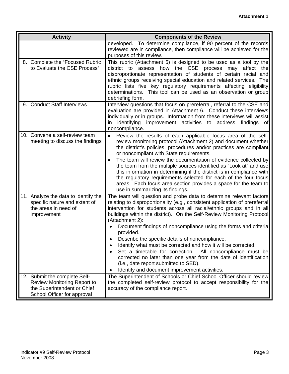| <b>Activity</b>                                                                                                                   | <b>Components of the Review</b>                                                                                                                                                                                                                                                                                                                                                                                                                                                                                                                                                                                                                                                                                                                           |
|-----------------------------------------------------------------------------------------------------------------------------------|-----------------------------------------------------------------------------------------------------------------------------------------------------------------------------------------------------------------------------------------------------------------------------------------------------------------------------------------------------------------------------------------------------------------------------------------------------------------------------------------------------------------------------------------------------------------------------------------------------------------------------------------------------------------------------------------------------------------------------------------------------------|
|                                                                                                                                   | developed. To determine compliance, if 90 percent of the records<br>reviewed are in compliance, then compliance will be achieved for the<br>purposes of this review.                                                                                                                                                                                                                                                                                                                                                                                                                                                                                                                                                                                      |
| 8. Complete the "Focused Rubric<br>to Evaluate the CSE Process"                                                                   | This rubric (Attachment 5) is designed to be used as a tool by the<br>district to assess how the CSE process may affect the<br>disproportionate representation of students of certain racial and<br>ethnic groups receiving special education and related services. The<br>rubric lists five key regulatory requirements affecting eligibility<br>determinations. This tool can be used as an observation or group<br>debriefing form.                                                                                                                                                                                                                                                                                                                    |
| 9. Conduct Staff Interviews                                                                                                       | Interview questions that focus on prereferral, referral to the CSE and<br>evaluation are provided in Attachment 6. Conduct these interviews<br>individually or in groups. Information from these interviews will assist<br>identifying improvement activities to address<br>findings<br>in<br>of<br>noncompliance.                                                                                                                                                                                                                                                                                                                                                                                                                                        |
| 10. Convene a self-review team<br>meeting to discuss the findings                                                                 | Review the results of each applicable focus area of the self-<br>$\bullet$<br>review monitoring protocol (Attachment 2) and document whether<br>the district's policies, procedures and/or practices are compliant<br>or noncompliant with State requirements.<br>The team will review the documentation of evidence collected by<br>the team from the multiple sources identified as "Look at" and use<br>this information in determining if the district is in compliance with<br>the regulatory requirements selected for each of the four focus<br>areas. Each focus area section provides a space for the team to<br>use in summarizing its findings.                                                                                                |
| 11. Analyze the data to identify the<br>specific nature and extent of<br>the areas in need of<br>improvement                      | The team will question and probe data to determine relevant factors<br>relating to disproportionality (e.g., consistent application of prereferral<br>intervention for students across all racial/ethnic groups and in all<br>buildings within the district). On the Self-Review Monitoring Protocol<br>(Attachment 2):<br>Document findings of noncompliance using the forms and criteria<br>provided.<br>Describe the specific details of noncompliance.<br>Identify what must be corrected and how it will be corrected.<br>Set a timetable for correction.<br>All noncompliance must be<br>corrected no later than one year from the date of identification<br>(i.e., date report submitted to SED).<br>Identify and document improvement activities. |
| 12. Submit the complete Self-<br><b>Review Monitoring Report to</b><br>the Superintendent or Chief<br>School Officer for approval | The Superintendent of Schools or Chief School Officer should review<br>the completed self-review protocol to accept responsibility for the<br>accuracy of the compliance report.                                                                                                                                                                                                                                                                                                                                                                                                                                                                                                                                                                          |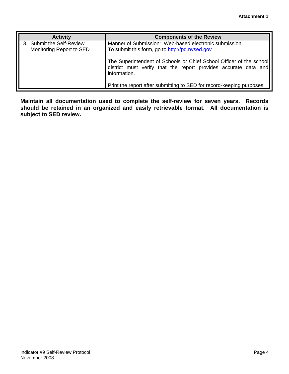| <b>Activity</b>                                        | <b>Components of the Review</b>                                                                                                                        |
|--------------------------------------------------------|--------------------------------------------------------------------------------------------------------------------------------------------------------|
| 13. Submit the Self-Review<br>Monitoring Report to SED | Manner of Submission: Web-based electronic submission<br>To submit this form, go to http://pd.nysed.gov                                                |
|                                                        | The Superintendent of Schools or Chief School Officer of the school<br>district must verify that the report provides accurate data and<br>information. |
|                                                        | Print the report after submitting to SED for record-keeping purposes.                                                                                  |

**Maintain all documentation used to complete the self-review for seven years. Records should be retained in an organized and easily retrievable format. All documentation is subject to SED review.**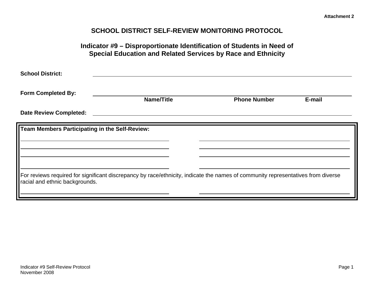## **SCHOOL DISTRICT SELF-REVIEW MONITORING PROTOCOL**

| <b>School District:</b>                        |            |                     |        |
|------------------------------------------------|------------|---------------------|--------|
| <b>Form Completed By:</b>                      | Name/Title | <b>Phone Number</b> | E-mail |
| <b>Date Review Completed:</b>                  |            |                     |        |
| Team Members Participating in the Self-Review: |            |                     |        |
|                                                |            |                     |        |
|                                                |            |                     |        |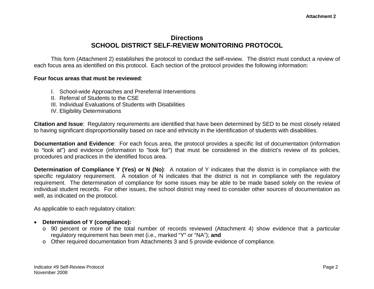## **Directions SCHOOL DISTRICT SELF-REVIEW MONITORING PROTOCOL**

 This form (Attachment 2) establishes the protocol to conduct the self-review. The district must conduct a review of each focus area as identified on this protocol. Each section of the protocol provides the following information:

#### **Four focus areas that must be reviewed**:

- I. School-wide Approaches and Prereferral Interventions
- II. Referral of Students to the CSE
- III. Individual Evaluations of Students with Disabilities
- IV. Eligibility Determinations

**Citation and Issue**: Regulatory requirements are identified that have been determined by SED to be most closely related to having significant disproportionality based on race and ethnicity in the identification of students with disabilities.

**Documentation and Evidence**: For each focus area, the protocol provides a specific list of documentation (information to "look at") and evidence (information to "look for") that must be considered in the district's review of its policies, procedures and practices in the identified focus area.

**Determination of Compliance Y (Yes) or N (No)**: A notation of Y indicates that the district is in compliance with the specific regulatory requirement. A notation of N indicates that the district is not in compliance with the regulatory requirement. The determination of compliance for some issues may be able to be made based solely on the review of individual student records. For other issues, the school district may need to consider other sources of documentation as well, as indicated on the protocol.

As applicable to each regulatory citation:

#### • **Determination of Y (compliance):**

- <sup>o</sup> 90 percent or more of the total number of records reviewed (Attachment 4) show evidence that a particular regulatory requirement has been met (i.e., marked "Y" or "NA"); **and**
- <sup>o</sup> Other required documentation from Attachments 3 and 5 provide evidence of compliance.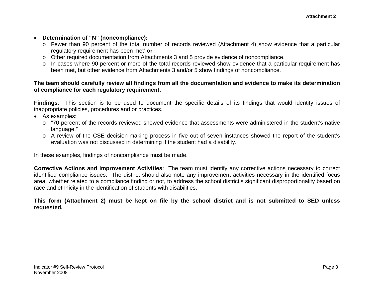#### • **Determination of "N" (noncompliance):**

- <sup>o</sup> Fewer than 90 percent of the total number of records reviewed (Attachment 4) show evidence that a particular regulatory requirement has been met' **or**
- <sup>o</sup> Other required documentation from Attachments 3 and 5 provide evidence of noncompliance.
- <sup>o</sup> In cases where 90 percent or more of the total records reviewed show evidence that a particular requirement has been met, but other evidence from Attachments 3 and/or 5 show findings of noncompliance.

#### **The team should carefully review all findings from all the documentation and evidence to make its determination of compliance for each regulatory requirement.**

**Findings**: This section is to be used to document the specific details of its findings that would identify issues of inappropriate policies, procedures and or practices.

- As examples:
	- <sup>o</sup> "70 percent of the records reviewed showed evidence that assessments were administered in the student's native language."
	- <sup>o</sup> A review of the CSE decision-making process in five out of seven instances showed the report of the student's evaluation was not discussed in determining if the student had a disability.

In these examples, findings of noncompliance must be made.

**Corrective Actions and Improvement Activities**: The team must identify any corrective actions necessary to correct identified compliance issues. The district should also note any improvement activities necessary in the identified focus area, whether related to a compliance finding or not, to address the school district's significant disproportionality based on race and ethnicity in the identification of students with disabilities.

**This form (Attachment 2) must be kept on file by the school district and is not submitted to SED unless requested.**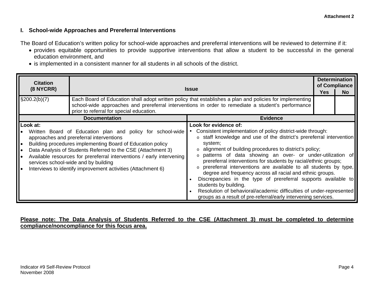#### **I. School-wide Approaches and Prereferral Interventions**

The Board of Education's written policy for school-wide approaches and prereferral interventions will be reviewed to determine if it:

- provides equitable opportunities to provide supportive interventions that allow a student to be successful in the general education environment, and
- is implemented in a consistent manner for all students in all schools of the district.

| <b>Citation</b><br>$(8$ NYCRR) | <b>Issue</b>                                                                                                                                                                                                                                                                                                                                                                                                          |                                                                                                                                                                                                                                                                                                                                                                                                                                                                                                                                                                                                                                                                                                                                                             |  |  |  |  |  |  |
|--------------------------------|-----------------------------------------------------------------------------------------------------------------------------------------------------------------------------------------------------------------------------------------------------------------------------------------------------------------------------------------------------------------------------------------------------------------------|-------------------------------------------------------------------------------------------------------------------------------------------------------------------------------------------------------------------------------------------------------------------------------------------------------------------------------------------------------------------------------------------------------------------------------------------------------------------------------------------------------------------------------------------------------------------------------------------------------------------------------------------------------------------------------------------------------------------------------------------------------------|--|--|--|--|--|--|
| $\S200.2(b)(7)$                | Each Board of Education shall adopt written policy that establishes a plan and policies for implementing<br>school-wide approaches and prereferral interventions in order to remediate a student's performance<br>prior to referral for special education.                                                                                                                                                            |                                                                                                                                                                                                                                                                                                                                                                                                                                                                                                                                                                                                                                                                                                                                                             |  |  |  |  |  |  |
|                                | <b>Documentation</b>                                                                                                                                                                                                                                                                                                                                                                                                  | <b>Evidence</b>                                                                                                                                                                                                                                                                                                                                                                                                                                                                                                                                                                                                                                                                                                                                             |  |  |  |  |  |  |
| Look at:                       | Written Board of Education plan and policy for school-wide<br>approaches and prereferral interventions<br>Building procedures implementing Board of Education policy<br>Data Analysis of Students Referred to the CSE (Attachment 3)<br>Available resources for prereferral interventions / early intervening<br>services school-wide and by building<br>Interviews to identify improvement activities (Attachment 6) | Look for evidence of:<br>Consistent implementation of policy district-wide through:<br>o staff knowledge and use of the district's prereferral intervention<br>system;<br>alignment of building procedures to district's policy;<br>$\circ$<br>patterns of data showing an over- or under-utilization of<br>$\circ$<br>prereferral interventions for students by racial/ethnic groups;<br>prereferral interventions are available to all students by type,<br>degree and frequency across all racial and ethnic groups.<br>Discrepancies in the type of prereferral supports available to<br>students by building.<br>Resolution of behavioral/academic difficulties of under-represented<br>groups as a result of pre-referral/early intervening services. |  |  |  |  |  |  |

**Please note: The Data Analysis of Students Referred to the CSE (Attachment 3) must be completed to determine compliance/noncompliance for this focus area.**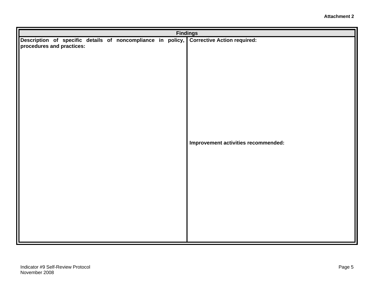|                           |  |  |  | <b>Findings</b>                                                                         |
|---------------------------|--|--|--|-----------------------------------------------------------------------------------------|
| procedures and practices: |  |  |  | Description of specific details of noncompliance in policy, Corrective Action required: |
|                           |  |  |  | Improvement activities recommended:                                                     |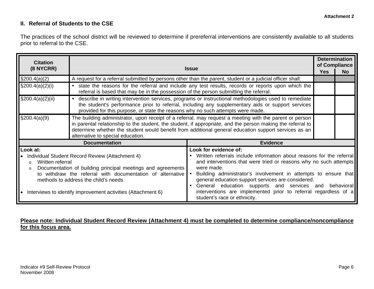#### **II. Referral of Students to the CSE**

The practices of the school district will be reviewed to determine if prereferral interventions are consistently available to all students prior to referral to the CSE.

| <b>Citation</b><br>$(8$ NYCRR)                                                                                                                                                                                                                                                                                                                                                         | <b>Determination</b><br>of Compliance<br><b>Issue</b>                                                                                                                                                                                                                                        |                                                                                                                                                                                                                                                                                                                                                                                                                                                         |     |            |  |  |  |
|----------------------------------------------------------------------------------------------------------------------------------------------------------------------------------------------------------------------------------------------------------------------------------------------------------------------------------------------------------------------------------------|----------------------------------------------------------------------------------------------------------------------------------------------------------------------------------------------------------------------------------------------------------------------------------------------|---------------------------------------------------------------------------------------------------------------------------------------------------------------------------------------------------------------------------------------------------------------------------------------------------------------------------------------------------------------------------------------------------------------------------------------------------------|-----|------------|--|--|--|
|                                                                                                                                                                                                                                                                                                                                                                                        |                                                                                                                                                                                                                                                                                              |                                                                                                                                                                                                                                                                                                                                                                                                                                                         |     |            |  |  |  |
| $\S200.4(a)(2)$                                                                                                                                                                                                                                                                                                                                                                        | A request for a referral submitted by persons other than the parent, student or a judicial officer shall:                                                                                                                                                                                    |                                                                                                                                                                                                                                                                                                                                                                                                                                                         |     |            |  |  |  |
| $\S200.4(a)(2)(i)$                                                                                                                                                                                                                                                                                                                                                                     | referral is based that may be in the possession of the person submitting the referral.                                                                                                                                                                                                       | state the reasons for the referral and include any test results, records or reports upon which the                                                                                                                                                                                                                                                                                                                                                      |     |            |  |  |  |
| $\S200.4(a)(2)(ii)$                                                                                                                                                                                                                                                                                                                                                                    | describe in writing intervention services, programs or instructional methodologies used to remediate<br>the student's performance prior to referral, including any supplementary aids or support services<br>provided for this purpose, or state the reasons why no such attempts were made. |                                                                                                                                                                                                                                                                                                                                                                                                                                                         |     |            |  |  |  |
| $\S200.4(a)(9)$<br>The building administrator, upon receipt of a referral, may request a meeting with the parent or person<br>in parental relationship to the student, the student, if appropriate, and the person making the referral to<br>determine whether the student would benefit from additional general education support services as an<br>alternative to special education. |                                                                                                                                                                                                                                                                                              |                                                                                                                                                                                                                                                                                                                                                                                                                                                         |     |            |  |  |  |
|                                                                                                                                                                                                                                                                                                                                                                                        | <b>Documentation</b>                                                                                                                                                                                                                                                                         | <b>Evidence</b>                                                                                                                                                                                                                                                                                                                                                                                                                                         |     |            |  |  |  |
| Look at:<br>Written referral<br>$\Omega$<br>$\Omega$                                                                                                                                                                                                                                                                                                                                   | Individual Student Record Review (Attachment 4)<br>Documentation of building principal meetings and agreements<br>to withdraw the referral with documentation of alternative<br>methods to address the child's needs<br>Interviews to identify improvement activities (Attachment 6)         | Look for evidence of:<br>Written referrals include information about reasons for the referral<br>and interventions that were tried or reasons why no such attempts<br>were made.<br>Building administrator's involvement in attempts to ensure that<br>general education support services are considered.<br>General education supports and services<br>interventions are implemented prior to referral regardless of a<br>student's race or ethnicity. | and | behavioral |  |  |  |

#### **Please note: Individual Student Record Review (Attachment 4) must be completed to determine compliance/noncompliance for this focus area.**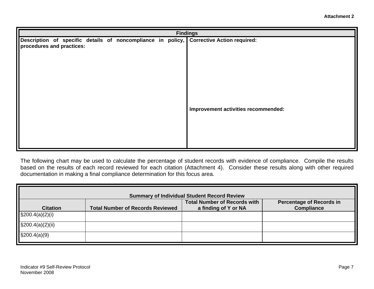|                           | <b>Findings</b> |  |  |  |  |  |  |                                                                                         |  |
|---------------------------|-----------------|--|--|--|--|--|--|-----------------------------------------------------------------------------------------|--|
| procedures and practices: |                 |  |  |  |  |  |  | Description of specific details of noncompliance in policy, Corrective Action required: |  |
|                           |                 |  |  |  |  |  |  | Improvement activities recommended:                                                     |  |

The following chart may be used to calculate the percentage of student records with evidence of compliance. Compile the results based on the results of each record reviewed for each citation (Attachment 4). Consider these results along with other required documentation in making a final compliance determination for this focus area.

| <b>Summary of Individual Student Record Review</b>                                                                                                                                |  |  |  |  |  |  |  |  |
|-----------------------------------------------------------------------------------------------------------------------------------------------------------------------------------|--|--|--|--|--|--|--|--|
| <b>Total Number of Records with</b><br><b>Percentage of Records in</b><br><b>Compliance</b><br><b>Total Number of Records Reviewed</b><br><b>Citation</b><br>a finding of Y or NA |  |  |  |  |  |  |  |  |
| $\S200.4(a)(2)(i)$                                                                                                                                                                |  |  |  |  |  |  |  |  |
| $\S200.4(a)(2)(ii)$                                                                                                                                                               |  |  |  |  |  |  |  |  |
|                                                                                                                                                                                   |  |  |  |  |  |  |  |  |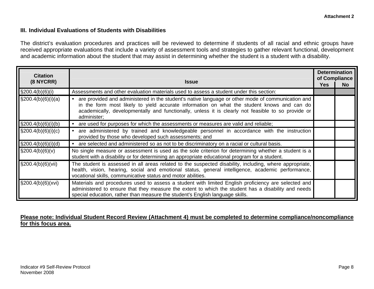#### **III. Individual Evaluations of Students with Disabilities**

The district's evaluation procedures and practices will be reviewed to determine if students of all racial and ethnic groups have received appropriate evaluations that include a variety of assessment tools and strategies to gather relevant functional, development and academic information about the student that may assist in determining whether the student is a student with a disability.

| <b>Citation</b><br>$(8$ NYCRR)    | <b>Issue</b>                                                                                                                                                                                                                                                                                                         |            |           |  |  |
|-----------------------------------|----------------------------------------------------------------------------------------------------------------------------------------------------------------------------------------------------------------------------------------------------------------------------------------------------------------------|------------|-----------|--|--|
|                                   |                                                                                                                                                                                                                                                                                                                      | <b>Yes</b> | <b>No</b> |  |  |
| $\frac{1}{2}$ \$200.4(b)(6)(i)    | Assessments and other evaluation materials used to assess a student under this section:                                                                                                                                                                                                                              |            |           |  |  |
| $\frac{1}{2}$ \$200.4(b)(6)(i)(a) | are provided and administered in the student's native language or other mode of communication and<br>in the form most likely to yield accurate information on what the student knows and can do<br>academically, developmentally and functionally, unless it is clearly not feasible to so provide or<br>administer; |            |           |  |  |
| $\frac{1}{2}$ \$200.4(b)(6)(i)(b) | are used for purposes for which the assessments or measures are valid and reliable;                                                                                                                                                                                                                                  |            |           |  |  |
| $\frac{1}{2}$ \$200.4(b)(6)(i)(c) | are administered by trained and knowledgeable personnel in accordance with the instruction<br>provided by those who developed such assessments; and                                                                                                                                                                  |            |           |  |  |
| $\frac{200.4(b)(6)(i)(d)}{}$      | are selected and administered so as not to be discriminatory on a racial or cultural basis.                                                                                                                                                                                                                          |            |           |  |  |
| $\frac{1}{2}$ \$200.4(b)(6)(v)    | No single measure or assessment is used as the sole criterion for determining whether a student is a<br>student with a disability or for determining an appropriate educational program for a student.                                                                                                               |            |           |  |  |
| $\sqrt{\frac{200.4(b)}{6}}$ (vii) | The student is assessed in all areas related to the suspected disability, including, where appropriate,<br>health, vision, hearing, social and emotional status, general intelligence, academic performance,<br>vocational skills, communicative status and motor abilities.                                         |            |           |  |  |
| $\frac{1}{2}$ \$200.4(b)(6)(xvi)  | Materials and procedures used to assess a student with limited English proficiency are selected and<br>administered to ensure that they measure the extent to which the student has a disability and needs<br>special education, rather than measure the student's English language skills.                          |            |           |  |  |

#### **Please note: Individual Student Record Review (Attachment 4) must be completed to determine compliance/noncompliance for this focus area.**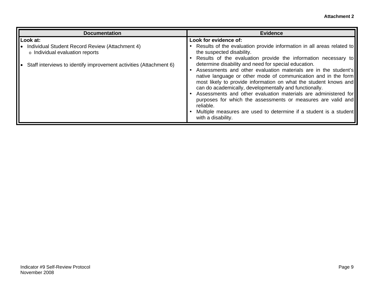| <b>Documentation</b>                                                                                                                                                       | <b>Evidence</b>                                                                                                                                                                                                                                                                                                                                                                                                                                                                                                                                                                                                                                                                                                                                                       |
|----------------------------------------------------------------------------------------------------------------------------------------------------------------------------|-----------------------------------------------------------------------------------------------------------------------------------------------------------------------------------------------------------------------------------------------------------------------------------------------------------------------------------------------------------------------------------------------------------------------------------------------------------------------------------------------------------------------------------------------------------------------------------------------------------------------------------------------------------------------------------------------------------------------------------------------------------------------|
| Look at:<br>Individual Student Record Review (Attachment 4)<br>$\circ$ Individual evaluation reports<br>Staff interviews to identify improvement activities (Attachment 6) | Look for evidence of:<br>Results of the evaluation provide information in all areas related to<br>the suspected disability.<br>Results of the evaluation provide the information necessary to<br>determine disability and need for special education.<br>Assessments and other evaluation materials are in the student's<br>native language or other mode of communication and in the form<br>most likely to provide information on what the student knows and<br>can do academically, developmentally and functionally.<br>• Assessments and other evaluation materials are administered for<br>purposes for which the assessments or measures are valid and<br>reliable.<br>Multiple measures are used to determine if a student is a student<br>with a disability. |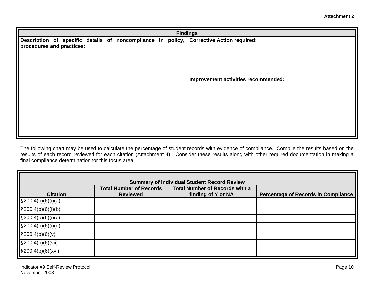|                           |  |  |  | <b>Findings</b>                                                                         |
|---------------------------|--|--|--|-----------------------------------------------------------------------------------------|
|                           |  |  |  | Description of specific details of noncompliance in policy, Corrective Action required: |
| procedures and practices: |  |  |  |                                                                                         |
|                           |  |  |  |                                                                                         |
|                           |  |  |  |                                                                                         |
|                           |  |  |  |                                                                                         |
|                           |  |  |  | Improvement activities recommended:                                                     |
|                           |  |  |  |                                                                                         |
|                           |  |  |  |                                                                                         |
|                           |  |  |  |                                                                                         |
|                           |  |  |  |                                                                                         |
|                           |  |  |  |                                                                                         |
|                           |  |  |  |                                                                                         |

The following chart may be used to calculate the percentage of student records with evidence of compliance. Compile the results based on the results of each record reviewed for each citation (Attachment 4). Consider these results along with other required documentation in making a final compliance determination for this focus area.

| <b>Summary of Individual Student Record Review</b> |                                                   |                                                             |                                     |  |  |  |  |  |
|----------------------------------------------------|---------------------------------------------------|-------------------------------------------------------------|-------------------------------------|--|--|--|--|--|
| <b>Citation</b>                                    | <b>Total Number of Records</b><br><b>Reviewed</b> | <b>Total Number of Records with a</b><br>finding of Y or NA | Percentage of Records in Compliance |  |  |  |  |  |
| $\S200.4(b)(6)(i)(a)$                              |                                                   |                                                             |                                     |  |  |  |  |  |
| $\S200.4(b)(6)(i)(b)$                              |                                                   |                                                             |                                     |  |  |  |  |  |
| $\S200.4(b)(6)(i)(c)$                              |                                                   |                                                             |                                     |  |  |  |  |  |
| $\frac{1}{2}$ (S200.4(b)(6)(i)(d)                  |                                                   |                                                             |                                     |  |  |  |  |  |
| $\S200.4(b)(6)(v)$                                 |                                                   |                                                             |                                     |  |  |  |  |  |
| $\S200.4(b)(6)(vii)$                               |                                                   |                                                             |                                     |  |  |  |  |  |
| $\S200.4(b)(6)(xvi)$                               |                                                   |                                                             |                                     |  |  |  |  |  |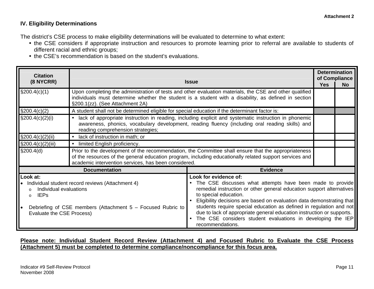#### **IV. Eligibility Determinations**

The district's CSE process to make eligibility determinations will be evaluated to determine to what extent:

- the CSE considers if appropriate instruction and resources to promote learning prior to referral are available to students of different racial and ethnic groups;
- the CSE's recommendation is based on the student's evaluations.

| <b>Citation</b>                                                                                        | <b>Issue</b>                                                                                                                                                                                                                                                           |                                                                                                                                                                                                                                                                                                                                                                                                                                                                                                 |  |  |  |  |
|--------------------------------------------------------------------------------------------------------|------------------------------------------------------------------------------------------------------------------------------------------------------------------------------------------------------------------------------------------------------------------------|-------------------------------------------------------------------------------------------------------------------------------------------------------------------------------------------------------------------------------------------------------------------------------------------------------------------------------------------------------------------------------------------------------------------------------------------------------------------------------------------------|--|--|--|--|
| $(8$ NYCRR)                                                                                            |                                                                                                                                                                                                                                                                        |                                                                                                                                                                                                                                                                                                                                                                                                                                                                                                 |  |  |  |  |
| $\sqrt{200.4(c)}$ (1)                                                                                  | §200.1(zz). (See Attachment 2A)                                                                                                                                                                                                                                        | Upon completing the administration of tests and other evaluation materials, the CSE and other qualified<br>individuals must determine whether the student is a student with a disability, as defined in section                                                                                                                                                                                                                                                                                 |  |  |  |  |
| $\S200.4(c)(2)$                                                                                        | A student shall not be determined eligible for special education if the determinant factor is:                                                                                                                                                                         |                                                                                                                                                                                                                                                                                                                                                                                                                                                                                                 |  |  |  |  |
| $\frac{1}{2}$ (s200.4(c)(2)(i)                                                                         | lack of appropriate instruction in reading, including explicit and systematic instruction in phonemic<br>$\bullet$<br>awareness, phonics, vocabulary development, reading fluency (including oral reading skills) and<br>reading comprehension strategies;             |                                                                                                                                                                                                                                                                                                                                                                                                                                                                                                 |  |  |  |  |
| $\S200.4(c)(2)(ii)$                                                                                    | lack of instruction in math; or<br>$\bullet$                                                                                                                                                                                                                           |                                                                                                                                                                                                                                                                                                                                                                                                                                                                                                 |  |  |  |  |
| $\S200.4(c)(2)(iii)$                                                                                   | limited English proficiency.                                                                                                                                                                                                                                           |                                                                                                                                                                                                                                                                                                                                                                                                                                                                                                 |  |  |  |  |
| \$200.4(d)                                                                                             | Prior to the development of the recommendation, the Committee shall ensure that the appropriateness<br>of the resources of the general education program, including educationally related support services and<br>academic intervention services, has been considered. |                                                                                                                                                                                                                                                                                                                                                                                                                                                                                                 |  |  |  |  |
|                                                                                                        | <b>Documentation</b>                                                                                                                                                                                                                                                   | <b>Evidence</b>                                                                                                                                                                                                                                                                                                                                                                                                                                                                                 |  |  |  |  |
| Look at:<br>Individual evaluations<br>$\Omega$<br><b>IEPs</b><br>$\Omega$<br>Evaluate the CSE Process) | Individual student record reviews (Attachment 4)<br>Debriefing of CSE members (Attachment 5 – Focused Rubric to                                                                                                                                                        | Look for evidence of:<br>The CSE discusses what attempts have been made to provide<br>remedial instruction or other general education support alternatives<br>to special education.<br>Eligibility decisions are based on evaluation data demonstrating that<br>students require special education as defined in regulation and not<br>due to lack of appropriate general education instruction or supports.<br>The CSE considers student evaluations in developing the IEP<br>recommendations. |  |  |  |  |

#### **Please note: Individual Student Record Review (Attachment 4) and Focused Rubric to Evaluate the CSE Process (Attachment 5) must be completed to determine compliance/noncompliance for this focus area.**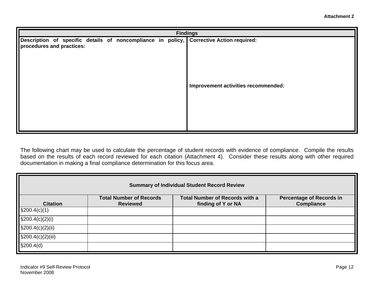| <b>Findings</b>                                                                                                      |                                     |
|----------------------------------------------------------------------------------------------------------------------|-------------------------------------|
| Description of specific details of noncompliance in policy, Corrective Action required:<br>procedures and practices: | Improvement activities recommended: |

The following chart may be used to calculate the percentage of student records with evidence of compliance. Compile the results based on the results of each record reviewed for each citation (Attachment 4). Consider these results along with other required documentation in making a final compliance determination for this focus area.

| <b>Summary of Individual Student Record Review</b> |                                                   |                                                             |                                                      |  |  |  |  |
|----------------------------------------------------|---------------------------------------------------|-------------------------------------------------------------|------------------------------------------------------|--|--|--|--|
| <b>Citation</b>                                    | <b>Total Number of Records</b><br><b>Reviewed</b> | <b>Total Number of Records with a</b><br>finding of Y or NA | <b>Percentage of Records in</b><br><b>Compliance</b> |  |  |  |  |
| $\text{\$}200.4(c)(1)$                             |                                                   |                                                             |                                                      |  |  |  |  |
| $\S 200.4(c)(2)(i)$                                |                                                   |                                                             |                                                      |  |  |  |  |
| $\S200.4(c)(2)(ii)$                                |                                                   |                                                             |                                                      |  |  |  |  |
| $\S 200.4(c)(2)(iii)$                              |                                                   |                                                             |                                                      |  |  |  |  |
| \$200.4(d)                                         |                                                   |                                                             |                                                      |  |  |  |  |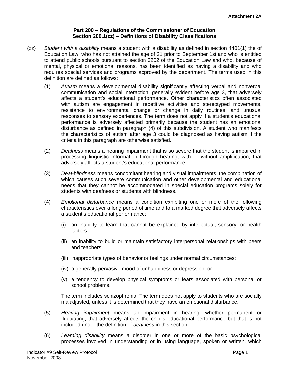#### **Part 200 – Regulations of the Commissioner of Education Section 200.1(zz) – Definitions of Disability Classifications**

- (zz) *Student with a disability* means a student with a disability as defined in section 4401(1) the of Education Law, who has not attained the age of 21 prior to September 1st and who is entitled to attend public schools pursuant to section 3202 of the Education Law and who, because of mental, physical or emotional reasons, has been identified as having a disability and who requires special services and programs approved by the department. The terms used in this definition are defined as follows:
	- (1) *Autism* means a developmental disability significantly affecting verbal and nonverbal communication and social interaction, generally evident before age 3, that adversely affects a student's educational performance. Other characteristics often associated with autism are engagement in repetitive activities and stereotyped movements, resistance to environmental change or change in daily routines, and unusual responses to sensory experiences. The term does not apply if a student's educational performance is adversely affected primarily because the student has an emotional disturbance as defined in paragraph (4) of this subdivision. A student who manifests the characteristics of autism after age 3 could be diagnosed as having autism if the criteria in this paragraph are otherwise satisfied.
	- (2) *Deafness* means a hearing impairment that is so severe that the student is impaired in processing linguistic information through hearing, with or without amplification, that adversely affects a student's educational performance.
	- (3) *Deaf-blindness* means concomitant hearing and visual impairments, the combination of which causes such severe communication and other developmental and educational needs that they cannot be accommodated in special education programs solely for students with deafness or students with blindness.
	- (4) *Emotional disturbance* means a condition exhibiting one or more of the following characteristics over a long period of time and to a marked degree that adversely affects a student's educational performance:
		- (i) an inability to learn that cannot be explained by intellectual, sensory, or health factors.
		- (ii) an inability to build or maintain satisfactory interpersonal relationships with peers and teachers;
		- (iii) inappropriate types of behavior or feelings under normal circumstances;
		- (iv) a generally pervasive mood of unhappiness or depression; or
		- (v) a tendency to develop physical symptoms or fears associated with personal or school problems.

 The term includes schizophrenia. The term does not apply to students who are socially maladjusted**,** unless it is determined that they have an emotional disturbance.

- (5) *Hearing impairment* means an impairment in hearing, whether permanent or fluctuating, that adversely affects the child's educational performance but that is not included under the definition of *deafness* in this section.
- (6) *Learning disability* means a disorder in one or more of the basic psychological processes involved in understanding or in using language, spoken or written, which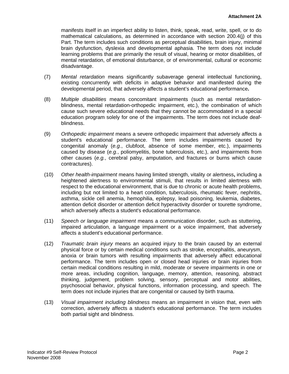manifests itself in an imperfect ability to listen, think, speak, read, write, spell, or to do mathematical calculations, as determined in accordance with section 200.4(j) of this Part. The term includes such conditions as perceptual disabilities, brain injury, minimal brain dysfunction, dyslexia and developmental aphasia. The term does not include learning problems that are primarily the result of visual, hearing or motor disabilities, of mental retardation, of emotional disturbance, or of environmental, cultural or economic disadvantage.

- (7) *Mental retardation* means significantly subaverage general intellectual functioning, existing concurrently with deficits in adaptive behavior and manifested during the developmental period, that adversely affects a student's educational performance**.**
- (8) *Multiple disabilities* means concomitant impairments (such as mental retardationblindness, mental retardation-orthopedic impairment, etc.), the combination of which cause such severe educational needs that they cannot be accommodated in a special education program solely for one of the impairments. The term does not include deafblindness.
- (9) *Orthopedic impairment* means a severe orthopedic impairment that adversely affects a student's educational performance. The term includes impairments caused by congenital anomaly (*e.g.*, clubfoot, absence of some member, etc.), impairments caused by disease (*e.g.*, poliomyelitis, bone tuberculosis, etc.), and impairments from other causes (*e.g.*, cerebral palsy, amputation, and fractures or burns which cause contractures).
- (10) *Other health-impairment* means having limited strength, vitality or alertness**,** including a heightened alertness to environmental stimuli, that results in limited alertness with respect to the educational environment, that is due to chronic or acute health problems, including but not limited to a heart condition, tuberculosis, rheumatic fever, nephritis, asthma, sickle cell anemia, hemophilia, epilepsy, lead poisoning, leukemia, diabetes, attention deficit disorder or attention deficit hyperactivity disorder or tourette syndrome, which adversely affects a student's educational performance.
- (11) *Speech or language impairment* means a communication disorder, such as stuttering, impaired articulation, a language impairment or a voice impairment, that adversely affects a student's educational performance.
- (12) *Traumatic brain injury* means an acquired injury to the brain caused by an external physical force or by certain medical conditions such as stroke, encephalitis, aneurysm, anoxia or brain tumors with resulting impairments that adversely affect educational performance. The term includes open or closed head injuries or brain injuries from certain medical conditions resulting in mild, moderate or severe impairments in one or more areas, including cognition, language, memory, attention, reasoning, abstract thinking, judgement, problem solving, sensory, perceptual and motor abilities, psychosocial behavior, physical functions, information processing, and speech. The term does not include injuries that are congenital or caused by birth trauma.
- (13) *Visual impairment including blindness* means an impairment in vision that, even with correction, adversely affects a student's educational performance. The term includes both partial sight and blindness.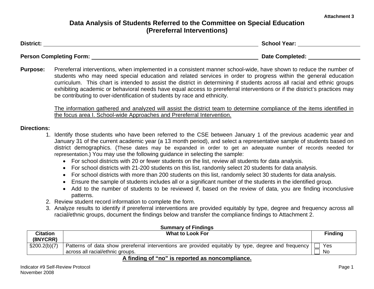## **Data Analysis of Students Referred to the Committee on Special Education (Prereferral Interventions)**

| <b>District:</b>               | <b>School Year:</b>    |
|--------------------------------|------------------------|
|                                |                        |
| <b>Person Completing Form:</b> | <b>Date Completed:</b> |

**Purpose:** Prereferral interventions, when implemented in a consistent manner school-wide, have shown to reduce the number of students who may need special education and related services in order to progress within the general education curriculum. This chart is intended to assist the district in determining if students across all racial and ethnic groups exhibiting academic or behavioral needs have equal access to prereferral interventions or if the district's practices may be contributing to over-identification of students by race and ethnicity.

> The information gathered and analyzed will assist the district team to determine compliance of the items identified in the focus area I. School-wide Approaches and Prereferral Intervention.

#### **Directions:**

- 1. Identify those students who have been referred to the CSE between January 1 of the previous academic year and January 31 of the current academic year (a 13 month period), and select a representative sample of students based on district demographics. (These dates may be expanded in order to get an adequate number of records needed for representation.) You may use the following guidance in selecting the sample:
	- For school districts with 20 or fewer students on the list, review all students for data analysis.
	- For school districts with 21-200 students on this list, randomly select 20 students for data analysis.
	- For school districts with more than 200 students on this list, randomly select 30 students for data analysis.
	- Ensure the sample of students includes all or a significant number of the students in the identified group.
	- Add to the number of students to be reviewed if, based on the review of data, you are finding inconclusive patterns.
- 2. Review student record information to complete the form.
- 3. Analyze results to identify if prereferral interventions are provided equitably by type, degree and frequency across all racial/ethnic groups, document the findings below and transfer the compliance findings to Attachment 2.

| <b>Summary of Findings</b>                                                                                              |                |  |  |  |  |
|-------------------------------------------------------------------------------------------------------------------------|----------------|--|--|--|--|
| <b>Citation</b><br><b>What to Look For</b>                                                                              | <b>Finding</b> |  |  |  |  |
| (8NYCRR)                                                                                                                |                |  |  |  |  |
| $\S200.2(b)(7)$<br>Patterns of data show prereferral interventions are provided equitably by type, degree and frequency | Yes            |  |  |  |  |
| across all racial/ethnic groups.                                                                                        | <b>No</b>      |  |  |  |  |

#### **A finding of "no" is reported as noncompliance.**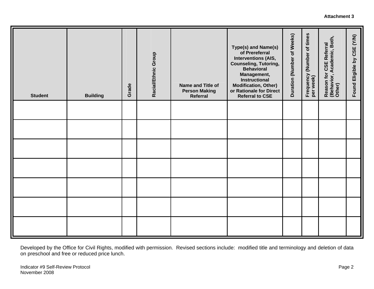#### **Attachment 3**

| <b>Student</b> | <b>Building</b> | Grade | Racial/Ethnic Group | Name and Title of<br><b>Person Making</b><br><b>Referral</b> | Type(s) and Name(s)<br>of Prereferral<br><b>Interventions (AIS,</b><br><b>Counseling, Tutoring,</b><br><b>Behavioral</b><br>Management,<br>Instructional<br><b>Modification, Other)</b><br>or Rationale for Direct<br><b>Referral to CSE</b> | Duration (Number of Weeks) | Frequency (Number of times<br>per week) | Academic, Both,<br>Reason for CSE Referral<br>(Behavior, Academic, Bo<br>Other) | Found Eligible by CSE (Y/N) |
|----------------|-----------------|-------|---------------------|--------------------------------------------------------------|----------------------------------------------------------------------------------------------------------------------------------------------------------------------------------------------------------------------------------------------|----------------------------|-----------------------------------------|---------------------------------------------------------------------------------|-----------------------------|
|                |                 |       |                     |                                                              |                                                                                                                                                                                                                                              |                            |                                         |                                                                                 |                             |
|                |                 |       |                     |                                                              |                                                                                                                                                                                                                                              |                            |                                         |                                                                                 |                             |
|                |                 |       |                     |                                                              |                                                                                                                                                                                                                                              |                            |                                         |                                                                                 |                             |
|                |                 |       |                     |                                                              |                                                                                                                                                                                                                                              |                            |                                         |                                                                                 |                             |
|                |                 |       |                     |                                                              |                                                                                                                                                                                                                                              |                            |                                         |                                                                                 |                             |
|                |                 |       |                     |                                                              |                                                                                                                                                                                                                                              |                            |                                         |                                                                                 |                             |
|                |                 |       |                     |                                                              |                                                                                                                                                                                                                                              |                            |                                         |                                                                                 |                             |

Developed by the Office for Civil Rights, modified with permission. Revised sections include: modified title and terminology and deletion of data on preschool and free or reduced price lunch.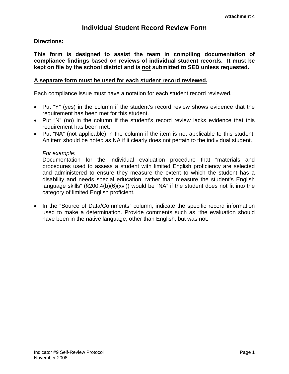## **Individual Student Record Review Form**

#### **Directions:**

**This form is designed to assist the team in compiling documentation of compliance findings based on reviews of individual student records. It must be kept on file by the school district and is not submitted to SED unless requested.** 

#### **A separate form must be used for each student record reviewed.**

Each compliance issue must have a notation for each student record reviewed.

- Put "Y" (yes) in the column if the student's record review shows evidence that the requirement has been met for this student.
- Put "N" (no) in the column if the student's record review lacks evidence that this requirement has been met.
- Put "NA" (not applicable) in the column if the item is not applicable to this student. An item should be noted as NA if it clearly does not pertain to the individual student.

#### *For example:*

 Documentation for the individual evaluation procedure that "materials and procedures used to assess a student with limited English proficiency are selected and administered to ensure they measure the extent to which the student has a disability and needs special education, rather than measure the student's English language skills" (§200.4(b)(6)(xvi)) would be "NA" if the student does not fit into the category of limited English proficient.

• In the "Source of Data/Comments" column, indicate the specific record information used to make a determination. Provide comments such as "the evaluation should have been in the native language, other than English, but was not."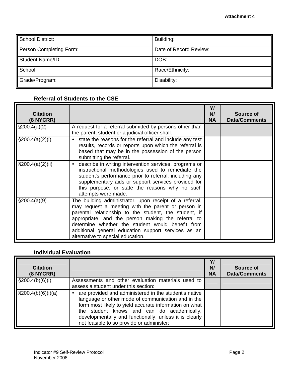| <b>School District:</b> | Building:              |
|-------------------------|------------------------|
| Person Completing Form: | Date of Record Review: |
| Student Name/ID:        | DOB:                   |
| School:                 | Race/Ethnicity:        |
| Grade/Program:          | Disability:            |

#### **Referral of Students to the CSE**

| <b>Citation</b><br>$(8$ NYCRR) |                                                                                                                                                                                                                                                                                                                                                                              | Y/<br>N/<br><b>NA</b> | Source of<br><b>Data/Comments</b> |
|--------------------------------|------------------------------------------------------------------------------------------------------------------------------------------------------------------------------------------------------------------------------------------------------------------------------------------------------------------------------------------------------------------------------|-----------------------|-----------------------------------|
| \$200.4(a)(2)                  | A request for a referral submitted by persons other than<br>the parent, student or a judicial officer shall:                                                                                                                                                                                                                                                                 |                       |                                   |
| $\S200.4(a)(2)(i)$             | • state the reasons for the referral and include any test<br>results, records or reports upon which the referral is<br>based that may be in the possession of the person<br>submitting the referral.                                                                                                                                                                         |                       |                                   |
| $\text{\$200.4(a)(2)(ii)}$     | describe in writing intervention services, programs or<br>instructional methodologies used to remediate the<br>student's performance prior to referral, including any<br>supplementary aids or support services provided for<br>this purpose, or state the reasons why no such<br>attempts were made.                                                                        |                       |                                   |
| \$200.4(a)(9)                  | The building administrator, upon receipt of a referral,<br>may request a meeting with the parent or person in<br>parental relationship to the student, the student, if<br>appropriate, and the person making the referral to<br>determine whether the student would benefit from<br>additional general education support services as an<br>alternative to special education. |                       |                                   |

### **Individual Evaluation**

| <b>Citation</b><br>$(8$ NYCRR) |                                                                                                                                                                                                                                                                                                                            | Y<br>N/<br><b>NA</b> | Source of<br><b>Data/Comments</b> |
|--------------------------------|----------------------------------------------------------------------------------------------------------------------------------------------------------------------------------------------------------------------------------------------------------------------------------------------------------------------------|----------------------|-----------------------------------|
| $\S200.4(b)(6)(i)$             | Assessments and other evaluation materials used to<br>assess a student under this section:                                                                                                                                                                                                                                 |                      |                                   |
| $\S200.4(b)(6)(i)(a)$          | are provided and administered in the student's native<br>language or other mode of communication and in the<br>form most likely to yield accurate information on what<br>the student knows and can do academically,<br>developmentally and functionally, unless it is clearly<br>not feasible to so provide or administer; |                      |                                   |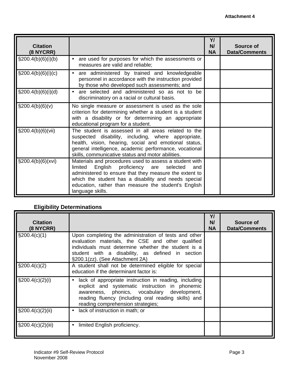| <b>Citation</b><br>(8 NYCRR) |                                                                                                                                                                                                                                                                                                               | YI<br>N/<br><b>NA</b> | Source of<br><b>Data/Comments</b> |
|------------------------------|---------------------------------------------------------------------------------------------------------------------------------------------------------------------------------------------------------------------------------------------------------------------------------------------------------------|-----------------------|-----------------------------------|
| $\S200.4(b)(6)(i)(b)$        | are used for purposes for which the assessments or<br>$\bullet$<br>measures are valid and reliable;                                                                                                                                                                                                           |                       |                                   |
| $\S200.4(b)(6)(i)(c)$        | are administered by trained and knowledgeable<br>personnel in accordance with the instruction provided<br>by those who developed such assessments; and                                                                                                                                                        |                       |                                   |
| \$200.4(b)(6)(i)(d)          | are selected and administered so as not to be<br>$\bullet$<br>discriminatory on a racial or cultural basis.                                                                                                                                                                                                   |                       |                                   |
| \$200.4(b)(6)(v)             | No single measure or assessment is used as the sole<br>criterion for determining whether a student is a student<br>with a disability or for determining an appropriate<br>educational program for a student.                                                                                                  |                       |                                   |
| \$200.4(b)(6)(vii)           | The student is assessed in all areas related to the<br>suspected disability, including, where appropriate,<br>health, vision, hearing, social and emotional status,<br>general intelligence, academic performance, vocational<br>skills, communicative status and motor abilities.                            |                       |                                   |
| \$200.4(b)(6)(xvi)           | Materials and procedures used to assess a student with<br>English proficiency are<br>limited<br>selected<br>and<br>administered to ensure that they measure the extent to<br>which the student has a disability and needs special<br>education, rather than measure the student's English<br>language skills. |                       |                                   |

## **Eligibility Determinations**

| <b>Citation</b><br>$(8$ NYCRR) |                                                                                                                                                                                                                                                          | YI<br>N/<br>ΝA | Source of<br><b>Data/Comments</b> |
|--------------------------------|----------------------------------------------------------------------------------------------------------------------------------------------------------------------------------------------------------------------------------------------------------|----------------|-----------------------------------|
| $\S200.4(c)(1)$                | Upon completing the administration of tests and other<br>evaluation materials, the CSE and other qualified<br>individuals must determine whether the student is a<br>student with a disability, as defined in section<br>§200.1(zz). (See Attachment 2A) |                |                                   |
| \$200.4(c)(2)                  | A student shall not be determined eligible for special<br>education if the determinant factor is:                                                                                                                                                        |                |                                   |
| $\S200.4(c)(2)(i)$             | lack of appropriate instruction in reading, including<br>explicit and systematic instruction in phonemic<br>awareness, phonics, vocabulary development,<br>reading fluency (including oral reading skills) and<br>reading comprehension strategies;      |                |                                   |
| $\S200.4(c)(2)(ii)$            | lack of instruction in math; or                                                                                                                                                                                                                          |                |                                   |
| $\S200.4(c)(2)(iii)$           | limited English proficiency.                                                                                                                                                                                                                             |                |                                   |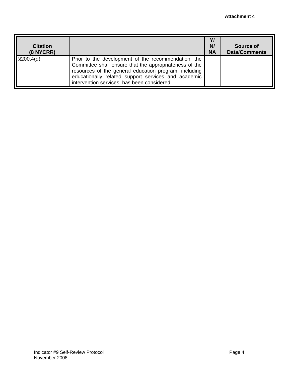| <b>Citation</b><br>$(8$ NYCRR) |                                                                                                                                                                                                                                                                              | Y/<br>N/<br><b>NA</b> | Source of<br><b>Data/Comments</b> |
|--------------------------------|------------------------------------------------------------------------------------------------------------------------------------------------------------------------------------------------------------------------------------------------------------------------------|-----------------------|-----------------------------------|
| \$200.4(d)                     | Prior to the development of the recommendation, the<br>Committee shall ensure that the appropriateness of the<br>resources of the general education program, including<br>educationally related support services and academic<br>intervention services, has been considered. |                       |                                   |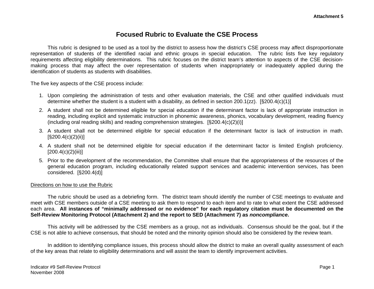## **Focused Rubric to Evaluate the CSE Process**

This rubric is designed to be used as a tool by the district to assess how the district's CSE process may affect disproportionate representation of students of the identified racial and ethnic groups in special education. The rubric lists five key regulatory requirements affecting eligibility determinations. This rubric focuses on the district team's attention to aspects of the CSE decisionmaking process that may affect the over representation of students when inappropriately or inadequately applied during the identification of students as students with disabilities.

The five key aspects of the CSE process include:

- 1. Upon completing the administration of tests and other evaluation materials, the CSE and other qualified individuals must determine whether the student is a student with a disability, as defined in section 200.1(zz). [§200.4(c)(1)]
- 2. A student shall not be determined eligible for special education if the determinant factor is lack of appropriate instruction in reading, including explicit and systematic instruction in phonemic awareness, phonics, vocabulary development, reading fluency (including oral reading skills) and reading comprehension strategies. [§200.4(c)(2)(i)]
- 3. A student shall not be determined eligible for special education if the determinant factor is lack of instruction in math.  $[S200.4(c)(2)(ii)]$
- 4. A student shall not be determined eligible for special education if the determinant factor is limited English proficiency.  $[200.4(c)(2)(iii)]$
- 5. Prior to the development of the recommendation, the Committee shall ensure that the appropriateness of the resources of the general education program, including educationally related support services and academic intervention services, has been considered. [§200.4(d)]

#### Directions on how to use the Rubric

 The rubric should be used as a debriefing form. The district team should identify the number of CSE meetings to evaluate and meet with CSE members outside of a CSE meeting to ask them to respond to each item and to rate to what extent the CSE addressed each area. **All instances of "minimally addressed or no evidence" for each regulatory citation must be documented on the Self-Review Monitoring Protocol (Attachment 2) and the report to SED (Attachment 7) as** *noncompliance***.** 

 This activity will be addressed by the CSE members as a group, not as individuals. Consensus should be the goal, but if the CSE is not able to achieve consensus, that should be noted and the minority opinion should also be considered by the review team.

In addition to identifying compliance issues, this process should allow the district to make an overall quality assessment of each of the key areas that relate to eligibility determinations and will assist the team to identify improvement activities.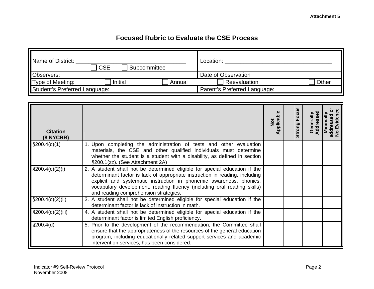## **Focused Rubric to Evaluate the CSE Process**

| Name of District:<br>Observers:<br>Type of Meeting: | Location:<br><b>CSE</b><br>Subcommittee<br>Date of Observation<br><b>Initial</b><br>Reevaluation<br>Annual<br>Other<br>Student's Preferred Language:<br>Parent's Preferred Language:                                                                                                                                                                 |  |                             |                     |                        |                                                                    |
|-----------------------------------------------------|------------------------------------------------------------------------------------------------------------------------------------------------------------------------------------------------------------------------------------------------------------------------------------------------------------------------------------------------------|--|-----------------------------|---------------------|------------------------|--------------------------------------------------------------------|
| <b>Citation</b><br>(8 NYCRR)                        |                                                                                                                                                                                                                                                                                                                                                      |  | Applicable<br>$\frac{1}{2}$ | <b>Strong Focus</b> | Addressed<br>Generally | ō<br>Minimall <sub>y</sub><br>Eviden<br>addressed<br>$\frac{1}{2}$ |
| $\S200.4(c)(1)$                                     | 1. Upon completing the administration of tests and other evaluation<br>materials, the CSE and other qualified individuals must determine<br>whether the student is a student with a disability, as defined in section<br>§200.1(zz). (See Attachment 2A)                                                                                             |  |                             |                     |                        |                                                                    |
| \$200.4(c)(2)(i)                                    | 2. A student shall not be determined eligible for special education if the<br>determinant factor is lack of appropriate instruction in reading, including<br>explicit and systematic instruction in phonemic awareness, phonics,<br>vocabulary development, reading fluency (including oral reading skills)<br>and reading comprehension strategies. |  |                             |                     |                        |                                                                    |
| \$200.4(c)(2)(ii)                                   | 3. A student shall not be determined eligible for special education if the<br>determinant factor is lack of instruction in math.                                                                                                                                                                                                                     |  |                             |                     |                        |                                                                    |
| \$200.4(c)(2)(iii)                                  | 4. A student shall not be determined eligible for special education if the<br>determinant factor is limited English proficiency.                                                                                                                                                                                                                     |  |                             |                     |                        |                                                                    |
| \$200.4(d)                                          | 5. Prior to the development of the recommendation, the Committee shall<br>ensure that the appropriateness of the resources of the general education<br>program, including educationally related support services and academic<br>intervention services, has been considered.                                                                         |  |                             |                     |                        |                                                                    |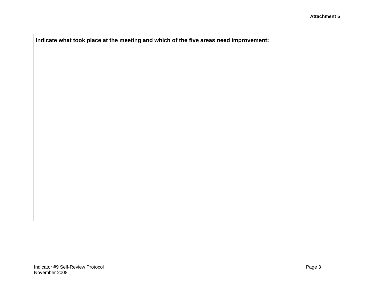**Indicate what took place at the meeting and which of the five areas need improvement:**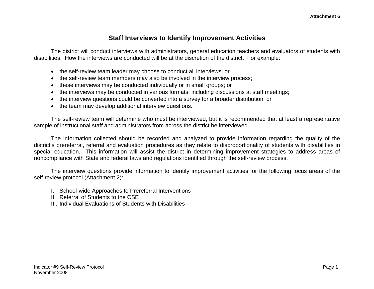## **Staff Interviews to Identify Improvement Activities**

 The district will conduct interviews with administrators, general education teachers and evaluators of students with disabilities. How the interviews are conducted will be at the discretion of the district. For example:

- the self-review team leader may choose to conduct all interviews; or
- the self-review team members may also be involved in the interview process;
- these interviews may be conducted individually or in small groups; or
- the interviews may be conducted in various formats, including discussions at staff meetings;
- the interview questions could be converted into a survey for a broader distribution; or
- the team may develop additional interview questions.

 The self-review team will determine who must be interviewed, but it is recommended that at least a representative sample of instructional staff and administrators from across the district be interviewed.

 The information collected should be recorded and analyzed to provide information regarding the quality of the district's prereferral, referral and evaluation procedures as they relate to disproportionality of students with disabilities in special education. This information will assist the district in determining improvement strategies to address areas of noncompliance with State and federal laws and regulations identified through the self-review process.

 The interview questions provide information to identify improvement activities for the following focus areas of the self-review protocol (Attachment 2):

- I. School-wide Approaches to Prereferral Interventions
- II. Referral of Students to the CSE
- III. Individual Evaluations of Students with Disabilities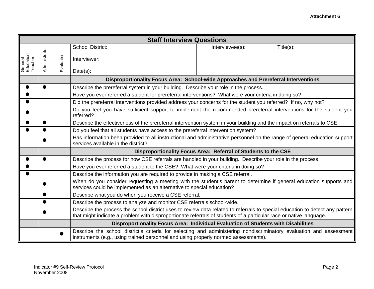|                                 | <b>Staff Interview Questions</b>                                                                                                |           |                                                                                                                                                                                                                                                    |                                                                |              |  |  |
|---------------------------------|---------------------------------------------------------------------------------------------------------------------------------|-----------|----------------------------------------------------------------------------------------------------------------------------------------------------------------------------------------------------------------------------------------------------|----------------------------------------------------------------|--------------|--|--|
|                                 |                                                                                                                                 |           | <b>School District:</b>                                                                                                                                                                                                                            | Interviewee(s):                                                | $Title(s)$ : |  |  |
| General<br>Education<br>Teacher | Administrator                                                                                                                   | Evaluator | Interviewer:<br>Date(s):                                                                                                                                                                                                                           |                                                                |              |  |  |
|                                 |                                                                                                                                 |           | Disproportionality Focus Area: School-wide Approaches and Prereferral Interventions                                                                                                                                                                |                                                                |              |  |  |
|                                 | $\bullet$                                                                                                                       |           | Describe the prereferral system in your building. Describe your role in the process.                                                                                                                                                               |                                                                |              |  |  |
|                                 |                                                                                                                                 |           | Have you ever referred a student for prereferral interventions? What were your criteria in doing so?                                                                                                                                               |                                                                |              |  |  |
|                                 |                                                                                                                                 |           | Did the prereferral interventions provided address your concerns for the student you referred? If no, why not?                                                                                                                                     |                                                                |              |  |  |
|                                 | Do you feel you have sufficient support to implement the recommended prereferral interventions for the student you<br>referred? |           |                                                                                                                                                                                                                                                    |                                                                |              |  |  |
|                                 | $\bullet$                                                                                                                       |           | Describe the effectiveness of the prereferral intervention system in your building and the impact on referrals to CSE.                                                                                                                             |                                                                |              |  |  |
|                                 |                                                                                                                                 |           | Do you feel that all students have access to the prereferral intervention system?                                                                                                                                                                  |                                                                |              |  |  |
|                                 |                                                                                                                                 |           | Has information been provided to all instructional and administrative personnel on the range of general education support<br>services available in the district?                                                                                   |                                                                |              |  |  |
|                                 |                                                                                                                                 |           |                                                                                                                                                                                                                                                    | Disproportionality Focus Area: Referral of Students to the CSE |              |  |  |
|                                 | $\bullet$                                                                                                                       |           | Describe the process for how CSE referrals are handled in your building. Describe your role in the process.                                                                                                                                        |                                                                |              |  |  |
|                                 |                                                                                                                                 |           | Have you ever referred a student to the CSE? What were your criteria in doing so?                                                                                                                                                                  |                                                                |              |  |  |
|                                 |                                                                                                                                 |           | Describe the information you are required to provide in making a CSE referral.                                                                                                                                                                     |                                                                |              |  |  |
|                                 |                                                                                                                                 |           | When do you consider requesting a meeting with the student's parent to determine if general education supports and<br>services could be implemented as an alternative to special education?                                                        |                                                                |              |  |  |
|                                 | ●                                                                                                                               |           | Describe what you do when you receive a CSE referral.                                                                                                                                                                                              |                                                                |              |  |  |
|                                 |                                                                                                                                 |           | Describe the process to analyze and monitor CSE referrals school-wide.                                                                                                                                                                             |                                                                |              |  |  |
|                                 |                                                                                                                                 |           | Describe the process the school district uses to review data related to referrals to special education to detect any pattern<br>that might indicate a problem with disproportionate referrals of students of a particular race or native language. |                                                                |              |  |  |
|                                 |                                                                                                                                 |           | Disproportionality Focus Area: Individual Evaluation of Students with Disabilities                                                                                                                                                                 |                                                                |              |  |  |
|                                 |                                                                                                                                 |           | Describe the school district's criteria for selecting and administering nondiscriminatory evaluation and assessment<br>instruments (e.g., using trained personnel and using properly normed assessments).                                          |                                                                |              |  |  |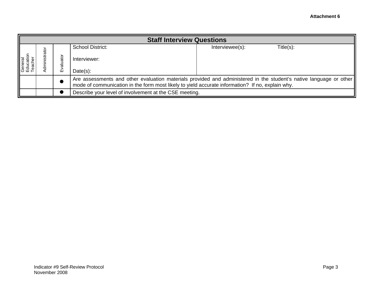|                                 | <b>Staff Interview Questions</b>                                                                                                                                                                                       |   |                                                        |                 |           |  |
|---------------------------------|------------------------------------------------------------------------------------------------------------------------------------------------------------------------------------------------------------------------|---|--------------------------------------------------------|-----------------|-----------|--|
|                                 | ator                                                                                                                                                                                                                   |   | <b>School District:</b>                                | Interviewee(s): | Title(s): |  |
| General<br>Educatior<br>Teacher | ξ                                                                                                                                                                                                                      |   | Interviewer:                                           |                 |           |  |
|                                 |                                                                                                                                                                                                                        | ш | $Date(s)$ :                                            |                 |           |  |
|                                 | Are assessments and other evaluation materials provided and administered in the student's native language or other<br>mode of communication in the form most likely to yield accurate information? If no, explain why. |   |                                                        |                 |           |  |
|                                 |                                                                                                                                                                                                                        |   | Describe your level of involvement at the CSE meeting. |                 |           |  |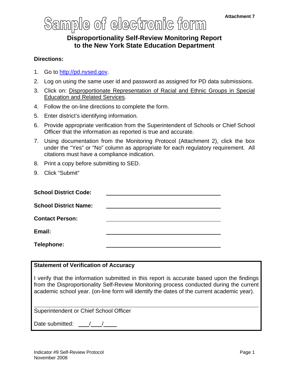## **Disproportionality Self-Review Monitoring Report to the New York State Education Department**

#### **Directions:**

- 1. Go to [http://pd.nysed.gov.](http://pd.nysed.gov/)
- 2. Log on using the same user id and password as assigned for PD data submissions.
- 3. Click on: Disproportionate Representation of Racial and Ethnic Groups in Special Education and Related Services.
- 4. Follow the on-line directions to complete the form.
- 5. Enter district's identifying information.
- 6. Provide appropriate verification from the Superintendent of Schools or Chief School Officer that the information as reported is true and accurate.
- 7. Using documentation from the Monitoring Protocol (Attachment 2), click the box under the "Yes" or "No" column as appropriate for each regulatory requirement. All citations must have a compliance indication.
- 8. Print a copy before submitting to SED.
- 9. Click "Submit"

| <b>School District Code:</b> |  |
|------------------------------|--|
| <b>School District Name:</b> |  |
| <b>Contact Person:</b>       |  |
| Email:                       |  |
| Telephone:                   |  |

#### **Statement of Verification of Accuracy**

I verify that the information submitted in this report is accurate based upon the findings from the Disproportionality Self-Review Monitoring process conducted during the current academic school year. (on-line form will identify the dates of the current academic year).

Superintendent or Chief School Officer

Date submitted:  $\frac{1}{2}$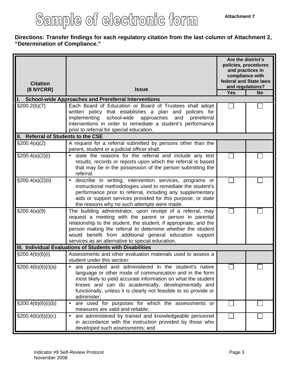#### **Directions: Transfer findings for each regulatory citation from the last column of Attachment 2, "Determination of Compliance."**

| <b>Citation</b>                     | <b>Issue</b>                                                                                                                                                                                                                                                                                                                                                              | Are the district's<br>policies, procedures<br>and practices in<br>compliance with<br>federal and State laws<br>and regulations? |           |
|-------------------------------------|---------------------------------------------------------------------------------------------------------------------------------------------------------------------------------------------------------------------------------------------------------------------------------------------------------------------------------------------------------------------------|---------------------------------------------------------------------------------------------------------------------------------|-----------|
| (8 NYCRR)                           |                                                                                                                                                                                                                                                                                                                                                                           | <b>Yes</b>                                                                                                                      | <b>No</b> |
|                                     | <b>School-wide Approaches and Prereferral Interventions</b>                                                                                                                                                                                                                                                                                                               |                                                                                                                                 |           |
| $\S200.2(b)(7)$                     | Each Board of Education or Board of Trustees shall adopt<br>written policy that establishes a plan and policies for<br>implementing school-wide approaches and prereferral<br>interventions in order to remediate a student's performance<br>prior to referral for special education.                                                                                     |                                                                                                                                 |           |
| II. Referral of Students to the CSE |                                                                                                                                                                                                                                                                                                                                                                           |                                                                                                                                 |           |
| $\S200.4(a)(2)$                     | A request for a referral submitted by persons other than the<br>parent, student or a judicial officer shall:                                                                                                                                                                                                                                                              |                                                                                                                                 |           |
| \$200.4(a)(2)(i)                    | state the reasons for the referral and include any test<br>results, records or reports upon which the referral is based<br>that may be in the possession of the person submitting the<br>referral.                                                                                                                                                                        |                                                                                                                                 |           |
| $\S200.4(a)(2)(ii)$                 | describe in writing, intervention services, programs or<br>$\bullet$<br>instructional methodologies used to remediate the student's<br>performance prior to referral, including any supplementary<br>aids or support services provided for this purpose, or state<br>the reasons why no such attempts were made.                                                          |                                                                                                                                 |           |
| $\S200.4(a)(9)$                     | The building administrator, upon receipt of a referral, may<br>request a meeting with the parent or person in parental<br>relationship to the student, the student, if appropriate, and the<br>person making the referral to determine whether the student<br>would benefit from additional general education support<br>services as an alternative to special education. |                                                                                                                                 |           |
|                                     | III. Individual Evaluations of Students with Disabilities                                                                                                                                                                                                                                                                                                                 |                                                                                                                                 |           |
| $\S200.4(b)(6)(i)$                  | Assessments and other evaluation materials used to assess a<br>student under this section:                                                                                                                                                                                                                                                                                |                                                                                                                                 |           |
| $\sqrt{(6)(6)(i)}$                  | are provided and administered in the student's native<br>language or other mode of communication and in the form<br>most likely to yield accurate information on what the student<br>knows and can do academically, developmentally and<br>functionally, unless it is clearly not feasible to so provide or<br>administer;                                                |                                                                                                                                 |           |
| $\sqrt{(6)(6)(6)}$                  | are used for purposes for which the assessments or<br>$\bullet$<br>measures are valid and reliable;                                                                                                                                                                                                                                                                       |                                                                                                                                 |           |
| $\S200.4(b)(6)(i)(c)$               | are administered by trained and knowledgeable personnel<br>in accordance with the instruction provided by those who<br>developed such assessments; and                                                                                                                                                                                                                    |                                                                                                                                 |           |